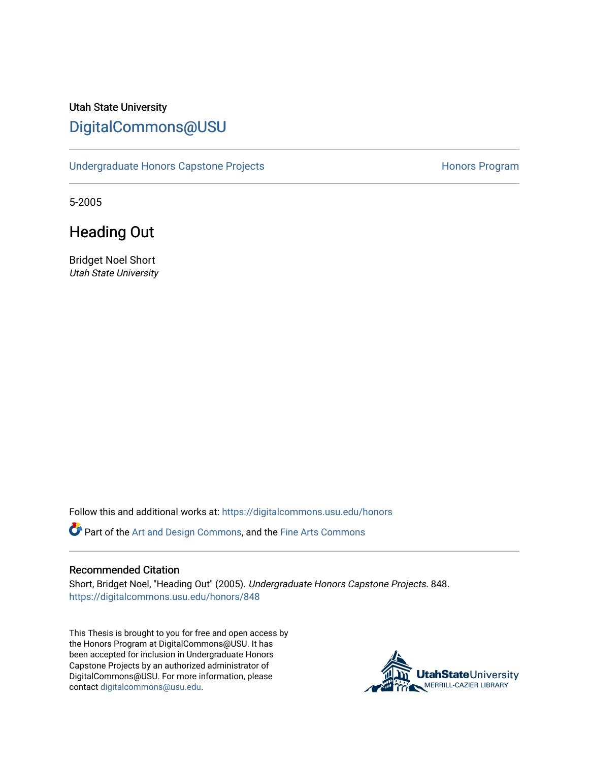## Utah State University [DigitalCommons@USU](https://digitalcommons.usu.edu/)

[Undergraduate Honors Capstone Projects](https://digitalcommons.usu.edu/honors) **Honors Program** Honors Program

5-2005

Heading Out

Bridget Noel Short Utah State University

Follow this and additional works at: [https://digitalcommons.usu.edu/honors](https://digitalcommons.usu.edu/honors?utm_source=digitalcommons.usu.edu%2Fhonors%2F848&utm_medium=PDF&utm_campaign=PDFCoverPages)

Part of the [Art and Design Commons](http://network.bepress.com/hgg/discipline/1049?utm_source=digitalcommons.usu.edu%2Fhonors%2F848&utm_medium=PDF&utm_campaign=PDFCoverPages), and the [Fine Arts Commons](http://network.bepress.com/hgg/discipline/1141?utm_source=digitalcommons.usu.edu%2Fhonors%2F848&utm_medium=PDF&utm_campaign=PDFCoverPages) 

#### Recommended Citation

Short, Bridget Noel, "Heading Out" (2005). Undergraduate Honors Capstone Projects. 848. [https://digitalcommons.usu.edu/honors/848](https://digitalcommons.usu.edu/honors/848?utm_source=digitalcommons.usu.edu%2Fhonors%2F848&utm_medium=PDF&utm_campaign=PDFCoverPages)

This Thesis is brought to you for free and open access by the Honors Program at DigitalCommons@USU. It has been accepted for inclusion in Undergraduate Honors Capstone Projects by an authorized administrator of DigitalCommons@USU. For more information, please contact [digitalcommons@usu.edu](mailto:digitalcommons@usu.edu).

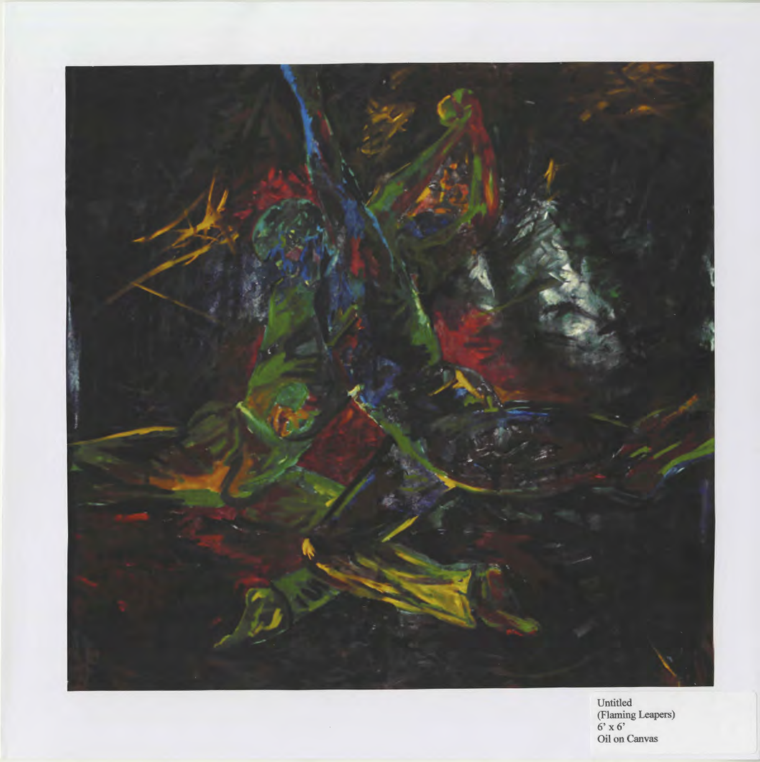

Untitled (Flaming Leapers)  $6' \times 6'$ Oil on Canvas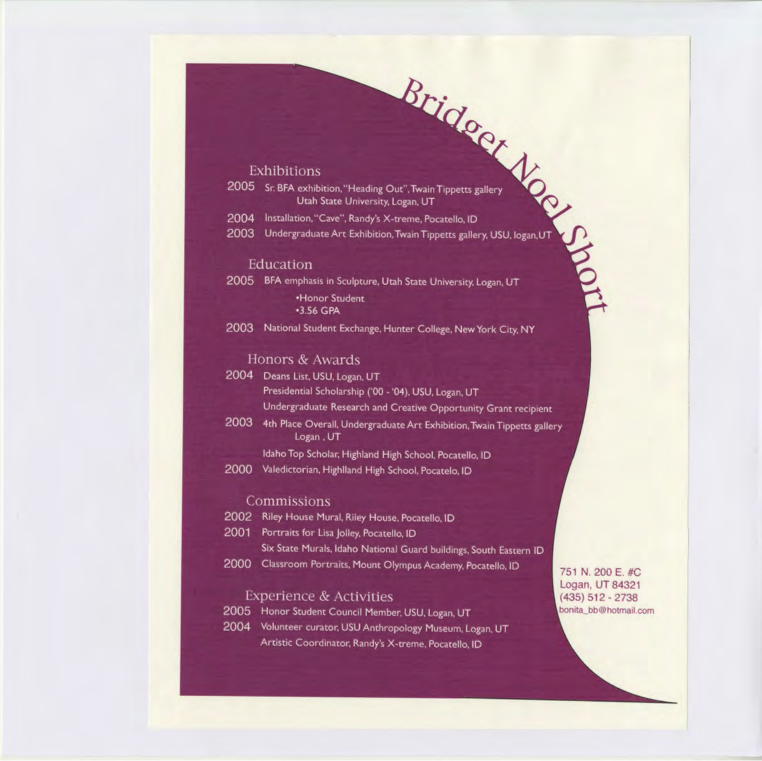## Exhibitions

Rridocr Voc Me 2005 Sr. BFA exhibition, "Heading Out", Twain Tippetts gallery Utah State University, Logan, UT

2004 Installation, "Cave", Randy's X-treme, Pocatello, ID

2003 Undergraduate Art Exhibition, Twain Tippetts gallery, USU, logan, UT

#### Education

2005 BFA emphasis in Sculpture, Utah State University, Logan, UT

•Honor Student •3.56 GPA

2003 National Student Exchange, Hunter College, New York City, NY

#### Honors & Awards

- 2004 Deans List, USU, Logan, UT Presidential Scholarship ('00 - '04), USU, Logan, UT Undergraduate Research and Creative Opportunity Grant recipient
- 2003 4th Place Overall, Undergraduate Art Exhibition, Twain Tippetts gallery Logan, UT

Idaho Top Scholar, Highland High School, Pocatello, ID

2000 Valedictorian, Highlland High School, Pocatelo, ID

#### Commissions

- 2002 Riley House Mural, Riley House, Pocatello, ID
- 2001 Portraits for Lisa Jolley, Pocatello, ID Six State Murals, Idaho National Guard buildings, South Eastern ID
- 2000 Classroom Portraits, Mount Olympus Academy, Pocatello, ID

### **Experience & Activities**

2005 Honor Student Council Member, USU, Logan, UT

2004 Volunteer curator, USU Anthropology Museum, Logan, UT Artistic Coordinator, Randy's X-treme, Pocatello, ID

751 N. 200 E. #C. Logan, UT 84321  $(435) 512 - 2738$ bonita\_bb@hotmail.com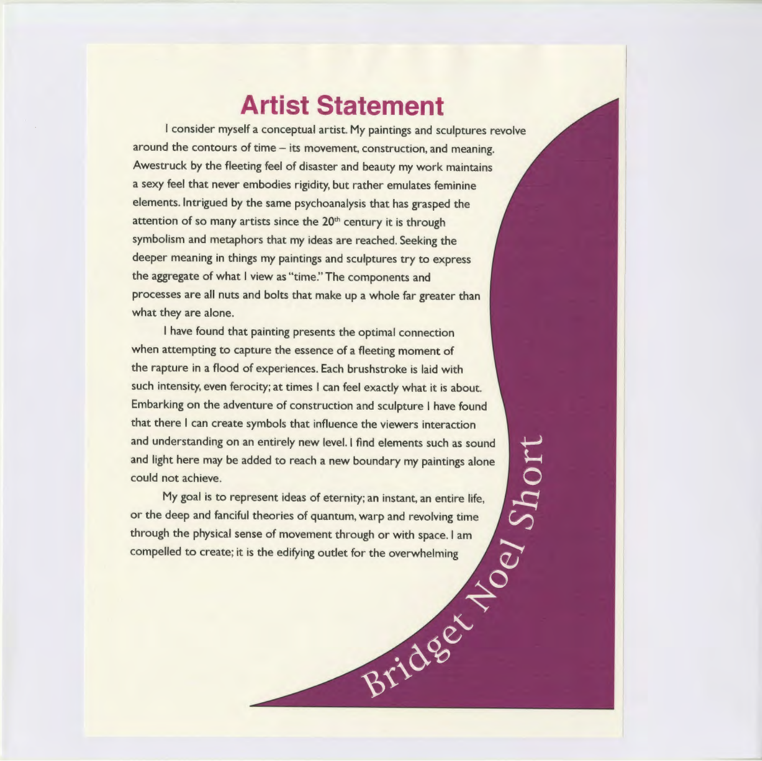# **Artist Statement**

I consider myself a conceptual artist. My paintings and sculptures revolve around the contours of time - its movement, construction, and meaning. Awestruck by the fleeting feel of disaster and beauty my work maintains a sexy feel that never embodies rigidity, but rather emulates feminine elements. Intrigued by the same psychoanalysis that has grasped the attention of so many artists since the  $20<sup>th</sup>$  century it is through symbolism and metaphors that my ideas are reached. Seeking the deeper meaning in things my paintings and sculptures try to express the aggregate of what I view as "time." The components and processes are all nuts and bolts that make up a whole far greater than what they are alone.

I have found that painting presents the optimal connection when attempting to capture the essence of a fleeting moment of the rapture in a flood of experiences. Each brushstroke is laid with such intensity, even ferocity; at times I can feel exactly what it is about. Embarking on the adventure of construction and sculpture I have found<br>that there I can create symbols that influence the viewers interaction<br>and ulght here may be added to reach a new boundary my paintings alone<br>could not that there I can create symbols that influence the viewers interaction and understanding on an entirely new level. I find elements such as sound and light here may be added to reach a new boundary my paintings alone could not achieve.

My goal is to represent ideas of eternity; an instant, an entire life, or the deep and fanciful theories of quantum, warp and revolving time through the physical sense of movement through or with space. I am compelled to create; it is the edifying outlet for the overwhelming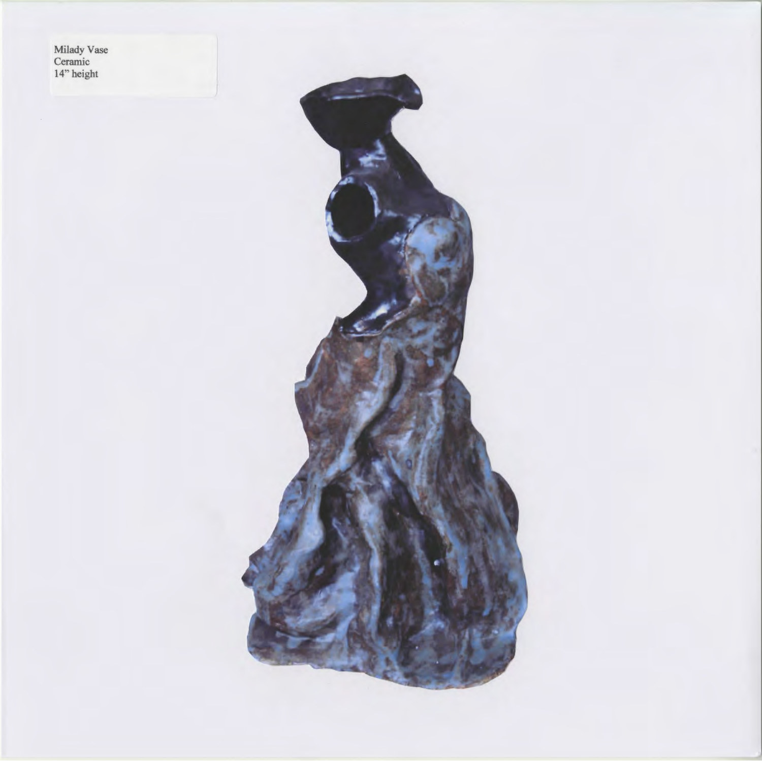Milady Vase<br>Ceramic<br>14" height

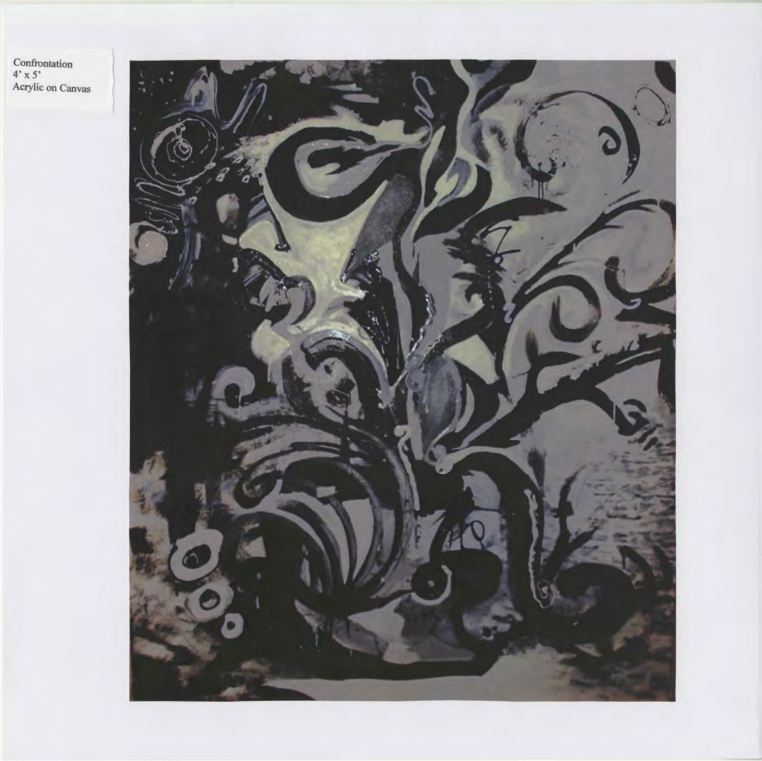Confrontation<br>4' x 5'<br>Acrylic on Canvas

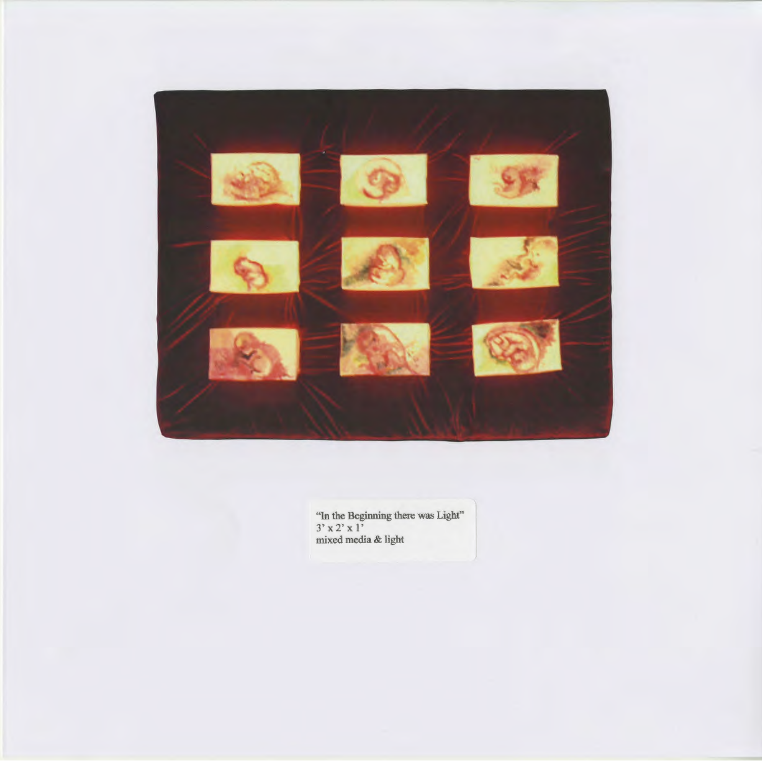

"In the Beginning there was Light"  $3' \times 2'$  : mixed media & light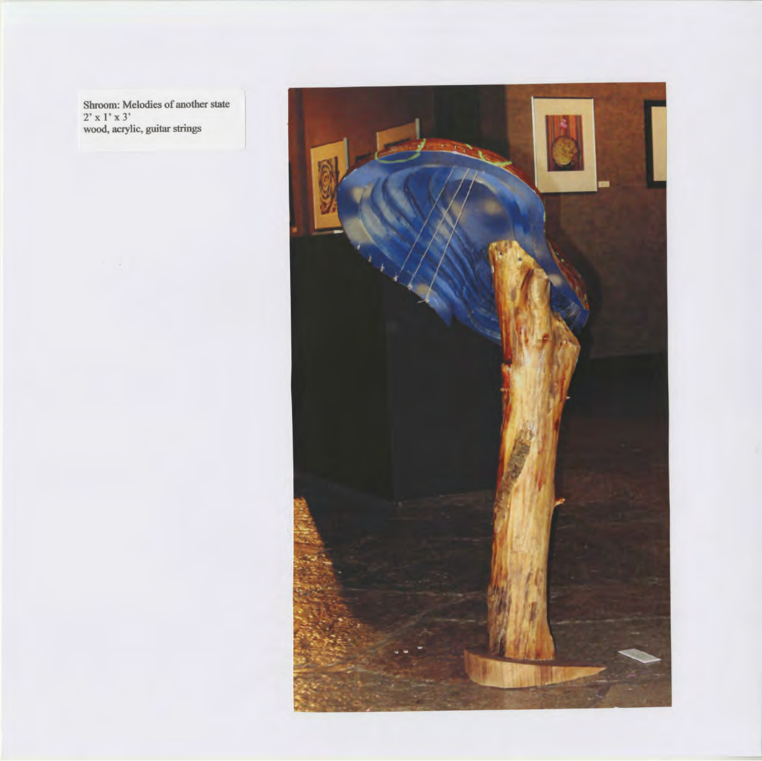Shroom: Melodies of another state  $2' \times 1'$ wood, acrylic, guitar strings

 $\mathcal{F}^{\mathcal{G}}_{\mathcal{G}}$  , and

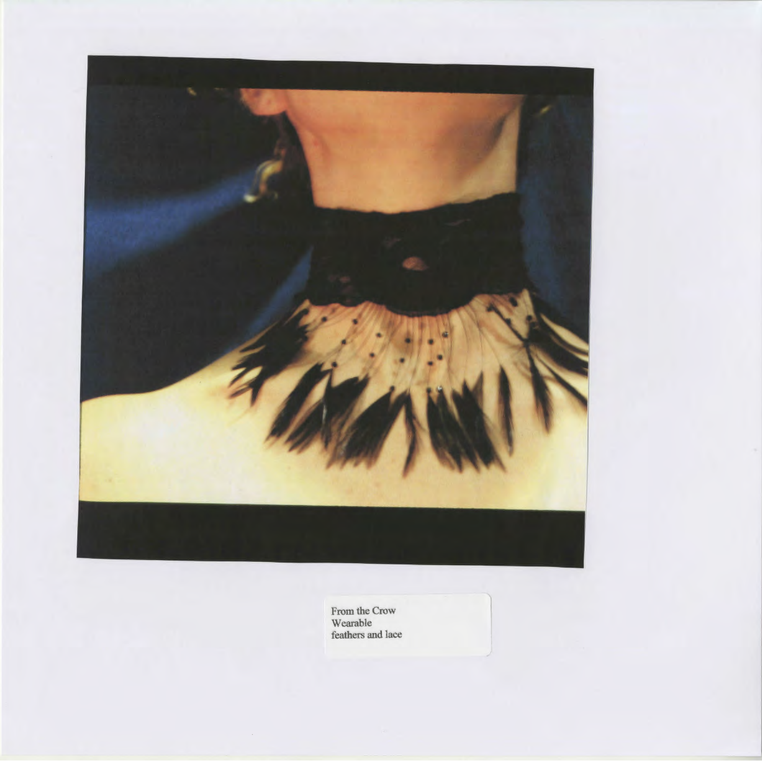

From the Crow Wearable feathers and lace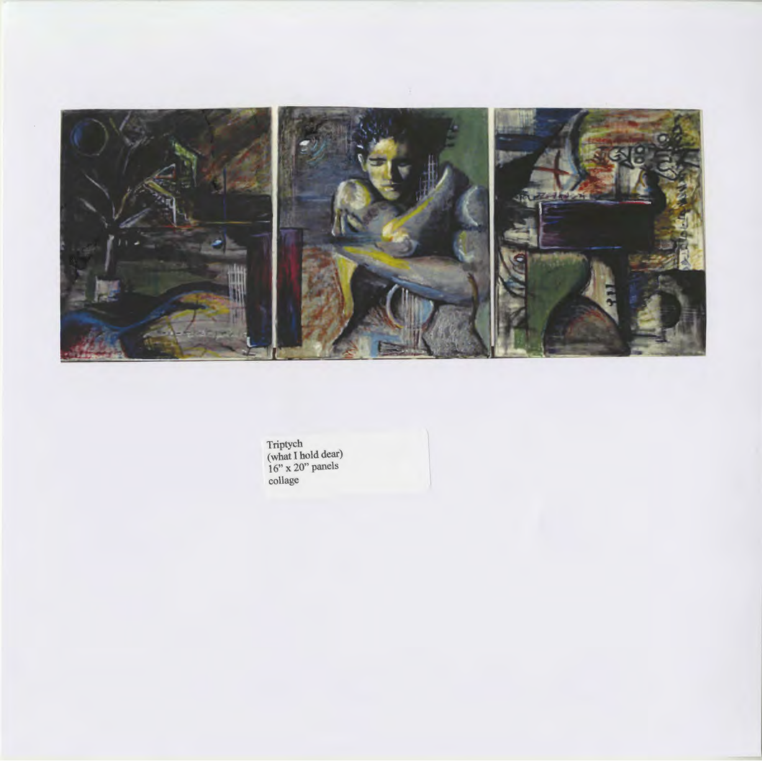

Triptych (what I hold dear) 16" x 20" panels collage